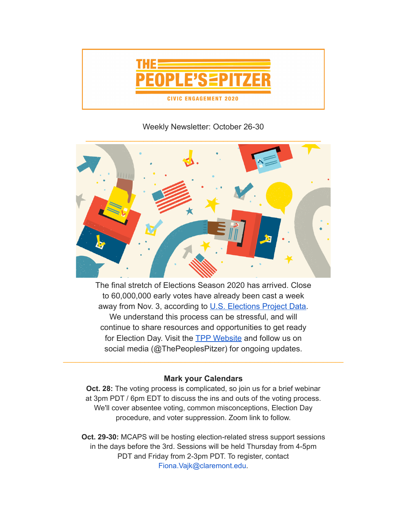

## Weekly Newsletter: October 26-30



The final stretch of Elections Season 2020 has arrived. Close to 60,000,000 early votes have already been cast a week away from Nov. 3, according to [U.S. Elections Project](https://electproject.github.io/Early-Vote-2020G/index.html) Data. We understand this process can be stressful, and will continue to share resources and opportunities to get ready for Election Day. Visit the [TPP Website](https://www.pitzer.edu/cec/community-engagement-center/community-pillars/peoples-pitzer/) and follow us on social media (@ThePeoplesPitzer) for ongoing updates.

## **Mark your Calendars**

\_\_\_\_\_\_\_\_\_\_\_\_\_\_\_\_\_\_\_\_\_\_\_\_\_\_\_\_\_\_\_\_\_\_\_\_\_\_\_\_\_\_\_\_\_\_\_\_\_\_\_\_\_\_\_\_\_\_\_\_\_\_\_\_\_\_\_\_\_

**Oct. 28:** The voting process is complicated, so join us for a brief webinar at 3pm PDT / 6pm EDT to discuss the ins and outs of the voting process. We'll cover absentee voting, common misconceptions, Election Day procedure, and voter suppression. Zoom link to follow.

**Oct. 29-30:** MCAPS will be hosting election-related stress support sessions in the days before the 3rd. Sessions will be held Thursday from 4-5pm PDT and Friday from 2-3pm PDT. To register, contact Fiona.Vajk@claremont.edu.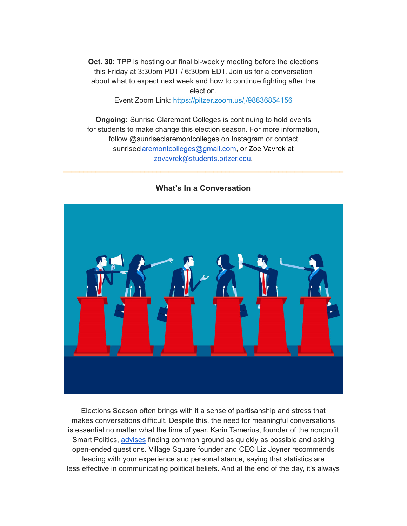**Oct. 30:** TPP is hosting our final bi-weekly meeting before the elections this Friday at 3:30pm PDT / 6:30pm EDT. Join us for a conversation about what to expect next week and how to continue fighting after the election.

Event Zoom Link: <https://pitzer.zoom.us/j/98836854156>

**Ongoing:** Sunrise Claremont Colleges is continuing to hold events for students to make change this election season. For more information, follow @sunriseclaremontcolleges on Instagram or contact sunriseclaremontcolleges@gmail.com, or Zoe Vavrek at zovavrek@students.pitzer.edu.

## **What's In a Conversation**

\_\_\_\_\_\_\_\_\_\_\_\_\_\_\_\_\_\_\_\_\_\_\_\_\_\_\_\_\_\_\_\_\_\_\_\_\_\_\_\_\_\_\_\_\_\_\_\_\_\_\_\_\_\_\_\_\_\_\_\_\_\_\_\_\_\_\_\_\_

Elections Season often brings with it a sense of partisanship and stress that makes conversations difficult. Despite this, the need for meaningful conversations is essential no matter what the time of year. Karin Tamerius, founder of the nonprofit Smart Politics, [advises](https://www.npr.org/2019/04/12/712277890/keeping-it-civil-how-to-talk-politics-without-letting-things-turn-ugly) finding common ground as quickly as possible and asking open-ended questions. Village Square founder and CEO Liz Joyner recommends leading with your experience and personal stance, saying that statistics are less effective in communicating political beliefs. And at the end of the day, it's always